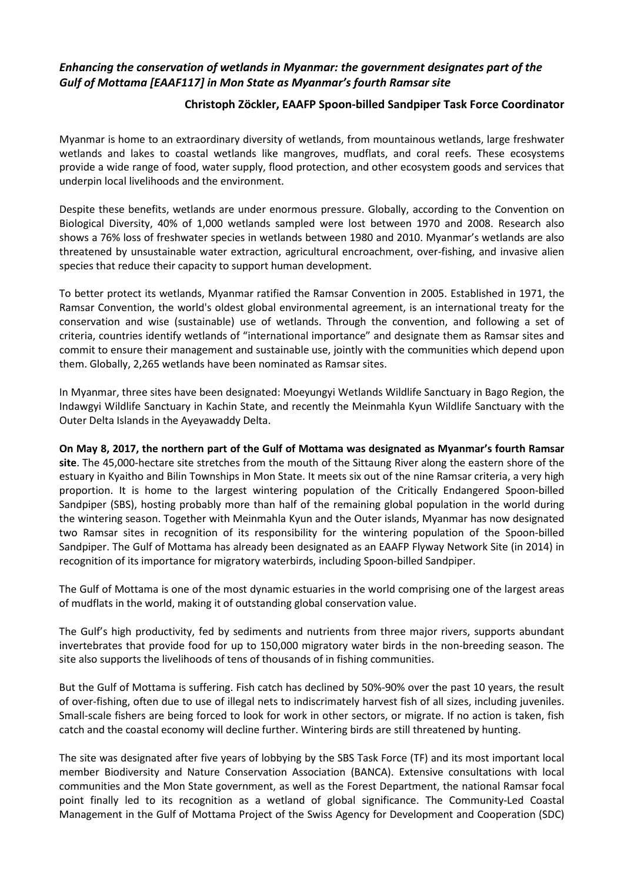## *Enhancing the conservation of wetlands in Myanmar: the government designates part of the Gulf of Mottama [EAAF117] in Mon State as Myanmar's fourth Ramsar site*

## **Christoph Zöckler, EAAFP Spoon-billed Sandpiper Task Force Coordinator**

Myanmar is home to an extraordinary diversity of wetlands, from mountainous wetlands, large freshwater wetlands and lakes to coastal wetlands like mangroves, mudflats, and coral reefs. These ecosystems provide a wide range of food, water supply, flood protection, and other ecosystem goods and services that underpin local livelihoods and the environment.

Despite these benefits, wetlands are under enormous pressure. Globally, according to the Convention on Biological Diversity, 40% of 1,000 wetlands sampled were lost between 1970 and 2008. Research also shows a 76% loss of freshwater species in wetlands between 1980 and 2010. Myanmar's wetlands are also threatened by unsustainable water extraction, agricultural encroachment, over-fishing, and invasive alien species that reduce their capacity to support human development.

To better protect its wetlands, Myanmar ratified the Ramsar Convention in 2005. Established in 1971, the Ramsar Convention, the world's oldest global environmental agreement, is an international treaty for the conservation and wise (sustainable) use of wetlands. Through the convention, and following a set of criteria, countries identify wetlands of "international importance" and designate them as Ramsar sites and commit to ensure their management and sustainable use, jointly with the communities which depend upon them. Globally, 2,265 wetlands have been nominated as Ramsar sites.

In Myanmar, three sites have been designated: Moeyungyi Wetlands Wildlife Sanctuary in Bago Region, the Indawgyi Wildlife Sanctuary in Kachin State, and recently the Meinmahla Kyun Wildlife Sanctuary with the Outer Delta Islands in the Ayeyawaddy Delta.

## **On May 8, 2017, the northern part of the Gulf of Mottama was designated as Myanmar's fourth Ramsar**

**site**. The 45,000-hectare site stretches from the mouth of the Sittaung River along the eastern shore of the estuary in Kyaitho and Bilin Townships in Mon State. It meets six out of the nine Ramsar criteria, a very high proportion. It is home to the largest wintering population of the Critically Endangered Spoon-billed Sandpiper (SBS), hosting probably more than half of the remaining global population in the world during the wintering season. Together with Meinmahla Kyun and the Outer islands, Myanmar has now designated two Ramsar sites in recognition of its responsibility for the wintering population of the Spoon-billed Sandpiper. The Gulf of Mottama has already been designated as an EAAFP Flyway Network Site (in 2014) in recognition of its importance for migratory waterbirds, including Spoon-billed Sandpiper.

The Gulf of Mottama is one of the most dynamic estuaries in the world comprising one of the largest areas of mudflats in the world, making it of outstanding global conservation value.

The Gulf's high productivity, fed by sediments and nutrients from three major rivers, supports abundant invertebrates that provide food for up to 150,000 migratory water birds in the non-breeding season. The site also supports the livelihoods of tens of thousands of in fishing communities.

But the Gulf of Mottama is suffering. Fish catch has declined by 50%-90% over the past 10 years, the result of over-fishing, often due to use of illegal nets to indiscrimately harvest fish of all sizes, including juveniles. Small-scale fishers are being forced to look for work in other sectors, or migrate. If no action is taken, fish catch and the coastal economy will decline further. Wintering birds are still threatened by hunting.

The site was designated after five years of lobbying by the SBS Task Force (TF) and its most important local member Biodiversity and Nature Conservation Association (BANCA). Extensive consultations with local communities and the Mon State government, as well as the Forest Department, the national Ramsar focal point finally led to its recognition as a wetland of global significance. The Community-Led Coastal Management in the Gulf of Mottama Project of the Swiss Agency for Development and Cooperation (SDC)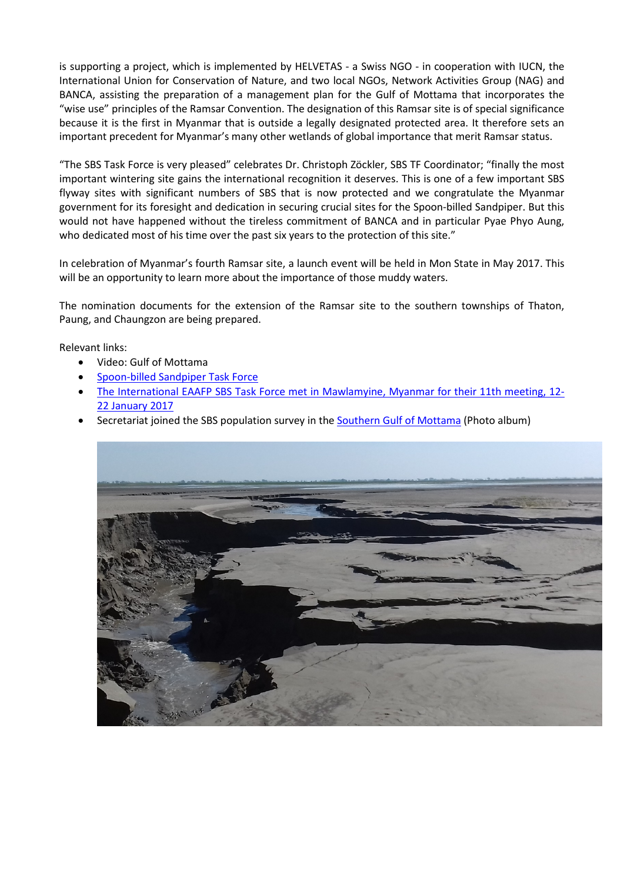is supporting a project, which is implemented by HELVETAS - a Swiss NGO - in cooperation with IUCN, the International Union for Conservation of Nature, and two local NGOs, Network Activities Group (NAG) and BANCA, assisting the preparation of a management plan for the Gulf of Mottama that incorporates the "wise use" principles of the Ramsar Convention. The designation of this Ramsar site is of special significance because it is the first in Myanmar that is outside a legally designated protected area. It therefore sets an important precedent for Myanmar's many other wetlands of global importance that merit Ramsar status.

"The SBS Task Force is very pleased" celebrates Dr. Christoph Zöckler, SBS TF Coordinator; "finally the most important wintering site gains the international recognition it deserves. This is one of a few important SBS flyway sites with significant numbers of SBS that is now protected and we congratulate the Myanmar government for its foresight and dedication in securing crucial sites for the Spoon-billed Sandpiper. But this would not have happened without the tireless commitment of BANCA and in particular Pyae Phyo Aung, who dedicated most of his time over the past six years to the protection of this site."

In celebration of Myanmar's fourth Ramsar site, a launch event will be held in Mon State in May 2017. This will be an opportunity to learn more about the importance of those muddy waters.

The nomination documents for the extension of the Ramsar site to the southern townships of Thaton, Paung, and Chaungzon are being prepared.

Relevant links:

- Video: Gulf of Mottama
- [Spoon-billed Sandpiper Task Force](http://www.eaaflyway.net/our-activities/task-forces/spoon-billed-sandpiper/)
- [The International EAAFP SBS Task Force met in Mawlamyine, Myanmar for their 11th meeting, 12-](http://www.eaaflyway.net/the-international-eaafp-sbs-tf-met-in-mawlamyine-myanmar-for-their-11th-meeting-12-22-january-2017/) [22 January 2017](http://www.eaaflyway.net/the-international-eaafp-sbs-tf-met-in-mawlamyine-myanmar-for-their-11th-meeting-12-22-january-2017/)
- Secretariat joined the SBS population survey in th[e Southern Gulf of Mottama](https://www.flickr.com/photos/eaafp/sets/72157677597625772) (Photo album)